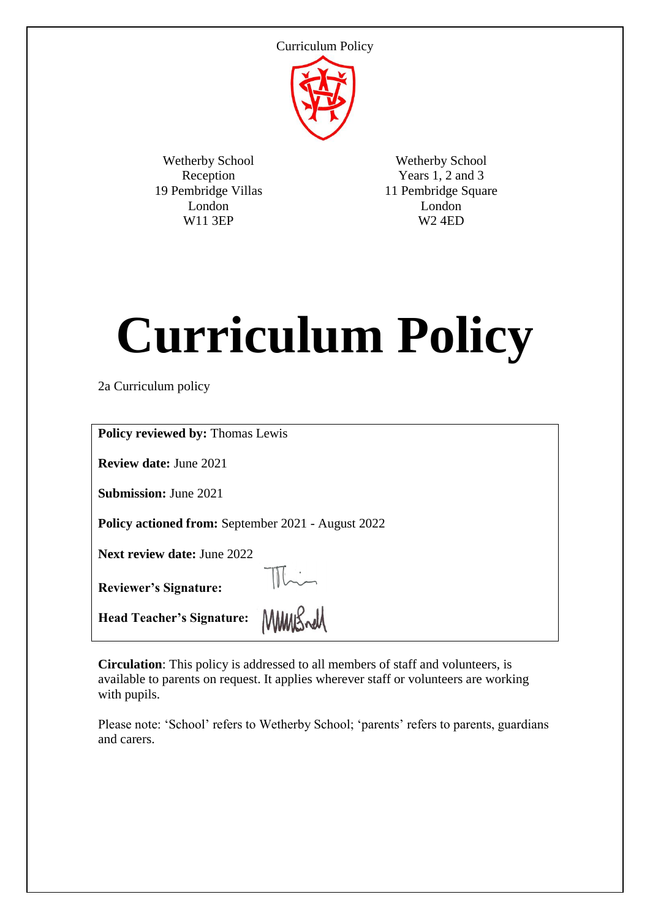

Wetherby School Reception 19 Pembridge Villas London W11 3EP

Wetherby School Years 1, 2 and 3 11 Pembridge Square London W2 4ED

# **Curriculum Policy**

2a Curriculum policy

| <b>Policy reviewed by: Thomas Lewis</b>                   |
|-----------------------------------------------------------|
| <b>Review date: June 2021</b>                             |
| <b>Submission: June 2021</b>                              |
| <b>Policy actioned from:</b> September 2021 - August 2022 |
| <b>Next review date: June 2022</b>                        |
| <b>Reviewer's Signature:</b>                              |
| <b>Head Teacher's Signature:</b>                          |

**Circulation**: This policy is addressed to all members of staff and volunteers, is available to parents on request. It applies wherever staff or volunteers are working with pupils.

Please note: 'School' refers to Wetherby School; 'parents' refers to parents, guardians and carers.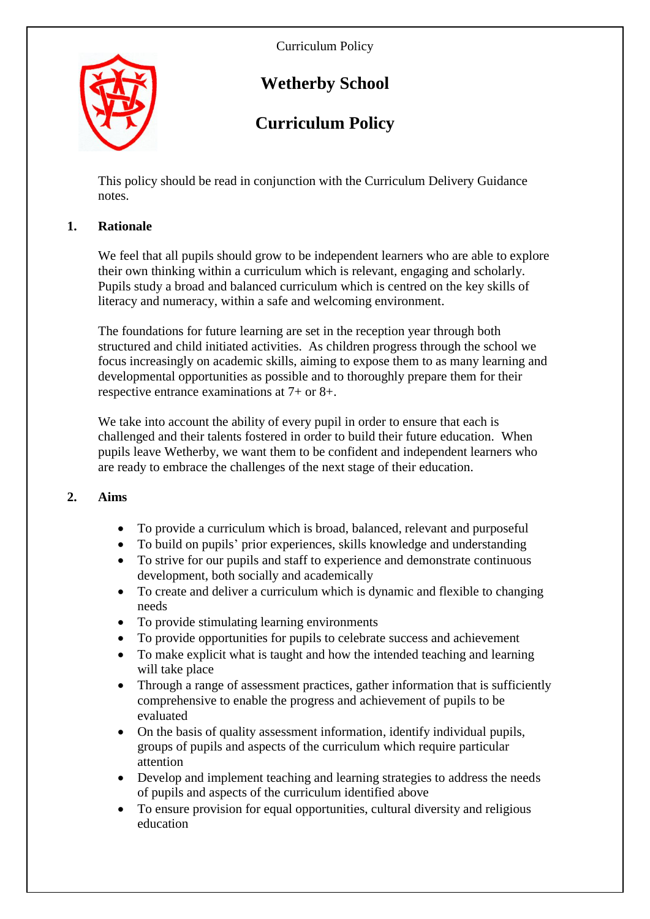

# **Wetherby School**

# **Curriculum Policy**

This policy should be read in conjunction with the Curriculum Delivery Guidance notes.

# **1. Rationale**

We feel that all pupils should grow to be independent learners who are able to explore their own thinking within a curriculum which is relevant, engaging and scholarly. Pupils study a broad and balanced curriculum which is centred on the key skills of literacy and numeracy, within a safe and welcoming environment.

The foundations for future learning are set in the reception year through both structured and child initiated activities. As children progress through the school we focus increasingly on academic skills, aiming to expose them to as many learning and developmental opportunities as possible and to thoroughly prepare them for their respective entrance examinations at 7+ or 8+.

We take into account the ability of every pupil in order to ensure that each is challenged and their talents fostered in order to build their future education. When pupils leave Wetherby, we want them to be confident and independent learners who are ready to embrace the challenges of the next stage of their education.

#### **2. Aims**

- To provide a curriculum which is broad, balanced, relevant and purposeful
- To build on pupils' prior experiences, skills knowledge and understanding
- To strive for our pupils and staff to experience and demonstrate continuous development, both socially and academically
- To create and deliver a curriculum which is dynamic and flexible to changing needs
- To provide stimulating learning environments
- To provide opportunities for pupils to celebrate success and achievement
- To make explicit what is taught and how the intended teaching and learning will take place
- Through a range of assessment practices, gather information that is sufficiently comprehensive to enable the progress and achievement of pupils to be evaluated
- On the basis of quality assessment information, identify individual pupils, groups of pupils and aspects of the curriculum which require particular attention
- Develop and implement teaching and learning strategies to address the needs of pupils and aspects of the curriculum identified above
- To ensure provision for equal opportunities, cultural diversity and religious education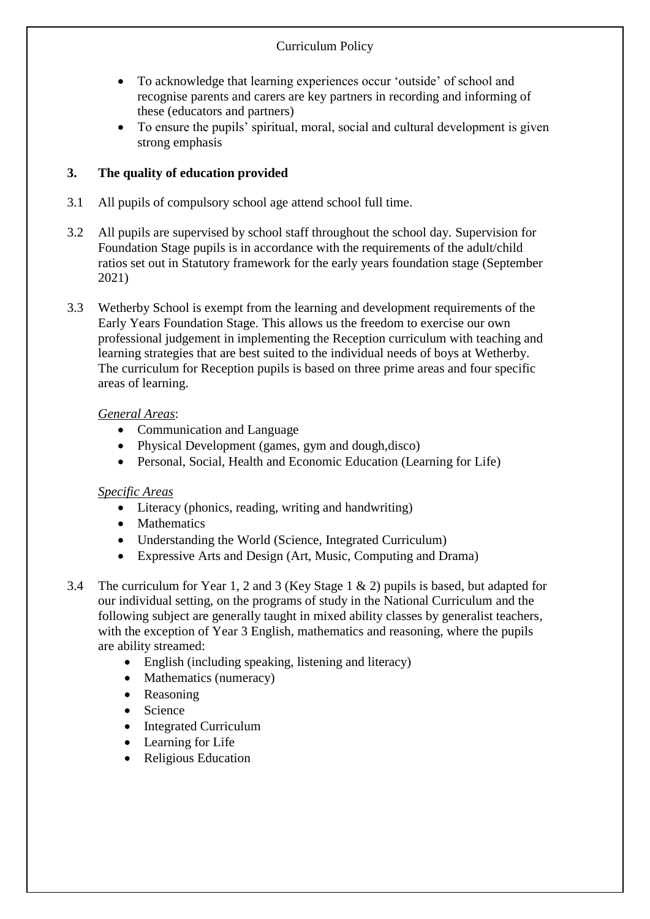- To acknowledge that learning experiences occur 'outside' of school and recognise parents and carers are key partners in recording and informing of these (educators and partners)
- To ensure the pupils' spiritual, moral, social and cultural development is given strong emphasis

## **3. The quality of education provided**

- 3.1 All pupils of compulsory school age attend school full time.
- 3.2 All pupils are supervised by school staff throughout the school day. Supervision for Foundation Stage pupils is in accordance with the requirements of the adult/child ratios set out in Statutory framework for the early years foundation stage (September 2021)
- 3.3 Wetherby School is exempt from the learning and development requirements of the Early Years Foundation Stage. This allows us the freedom to exercise our own professional judgement in implementing the Reception curriculum with teaching and learning strategies that are best suited to the individual needs of boys at Wetherby. The curriculum for Reception pupils is based on three prime areas and four specific areas of learning.

#### *General Areas*:

- Communication and Language
- Physical Development (games, gym and dough, disco)
- Personal, Social, Health and Economic Education (Learning for Life)

#### *Specific Areas*

- Literacy (phonics, reading, writing and handwriting)
- Mathematics
- Understanding the World (Science, Integrated Curriculum)
- Expressive Arts and Design (Art, Music, Computing and Drama)
- 3.4 The curriculum for Year 1, 2 and 3 (Key Stage 1 & 2) pupils is based, but adapted for our individual setting, on the programs of study in the National Curriculum and the following subject are generally taught in mixed ability classes by generalist teachers, with the exception of Year 3 English, mathematics and reasoning, where the pupils are ability streamed:
	- English (including speaking, listening and literacy)
	- Mathematics (numeracy)
	- Reasoning
	- Science
	- Integrated Curriculum
	- Learning for Life
	- Religious Education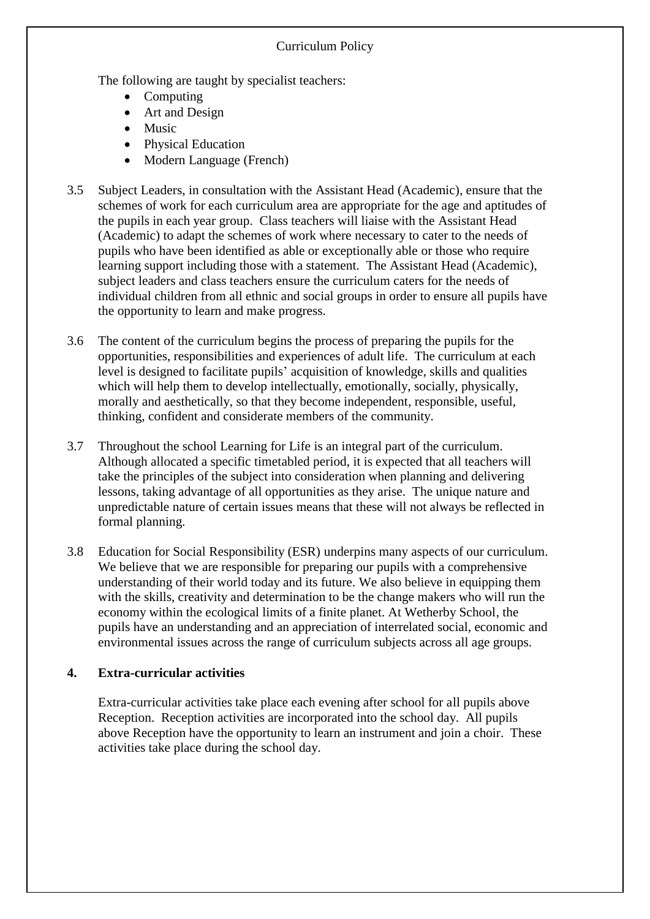The following are taught by specialist teachers:

- Computing
- Art and Design
- Music
- Physical Education
- Modern Language (French)
- 3.5 Subject Leaders, in consultation with the Assistant Head (Academic), ensure that the schemes of work for each curriculum area are appropriate for the age and aptitudes of the pupils in each year group. Class teachers will liaise with the Assistant Head (Academic) to adapt the schemes of work where necessary to cater to the needs of pupils who have been identified as able or exceptionally able or those who require learning support including those with a statement. The Assistant Head (Academic), subject leaders and class teachers ensure the curriculum caters for the needs of individual children from all ethnic and social groups in order to ensure all pupils have the opportunity to learn and make progress.
- 3.6 The content of the curriculum begins the process of preparing the pupils for the opportunities, responsibilities and experiences of adult life. The curriculum at each level is designed to facilitate pupils' acquisition of knowledge, skills and qualities which will help them to develop intellectually, emotionally, socially, physically, morally and aesthetically, so that they become independent, responsible, useful, thinking, confident and considerate members of the community.
- 3.7 Throughout the school Learning for Life is an integral part of the curriculum. Although allocated a specific timetabled period, it is expected that all teachers will take the principles of the subject into consideration when planning and delivering lessons, taking advantage of all opportunities as they arise. The unique nature and unpredictable nature of certain issues means that these will not always be reflected in formal planning.
- 3.8 Education for Social Responsibility (ESR) underpins many aspects of our curriculum. We believe that we are responsible for preparing our pupils with a comprehensive understanding of their world today and its future. We also believe in equipping them with the skills, creativity and determination to be the change makers who will run the economy within the ecological limits of a finite planet. At Wetherby School, the pupils have an understanding and an appreciation of interrelated social, economic and environmental issues across the range of curriculum subjects across all age groups.

# **4. Extra-curricular activities**

Extra-curricular activities take place each evening after school for all pupils above Reception. Reception activities are incorporated into the school day. All pupils above Reception have the opportunity to learn an instrument and join a choir. These activities take place during the school day.